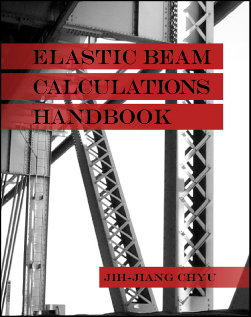## **ELASTIC BEAM CALCULATIONS HANDBOOK**

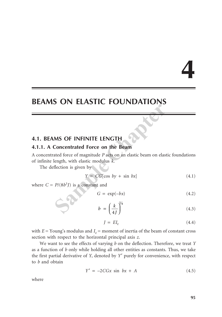# **4**

## **BEAMS ON ELASTIC FOUNDATIONS**

### **4.1. BEAMS OF INFINITE LENGTH**

#### **4.1.1. A Concentrated Force on the Beam**

A concentrated force of magnitude *P* acts on an elastic beam on elastic foundations of infinite length, with elastic modulus *k*. **Sample The STEP CONSTRENT CONCERNS OF INFINITE LENGTH**<br> **Sample Concentrated Force on the Beam**<br>
ated force of magnitude *P* acts on an elastic beam on elast<br>
length, with elastic modulus *k*.<br>
flection is given by<br>  $Y = CG$ 

The deflection is given by

$$
Y = CG[\cos by + \sin bx] \tag{4.1}
$$

where  $C = P/(8b^3I)$  is a constant and

$$
G = \exp(-bx) \tag{4.2}
$$

$$
b = \left(\frac{k}{4J}\right)^{1/4} \tag{4.3}
$$

$$
J = EI_z \tag{4.4}
$$

with  $E =$  Young's modulus and  $I_z$  = moment of inertia of the beam of constant cross section with respect to the horizontal principal axis *z*.

We want to see the effects of varying *b* on the deflection. Therefore, we treat *Y* as a function of *b* only while holding all other entities as constants. Thus, we take the first partial derivative of *Y*, denoted by *Y*′ purely for convenience, with respect to *b* and obtain

$$
Y' = -2CGx \sin bx + A \tag{4.5}
$$

where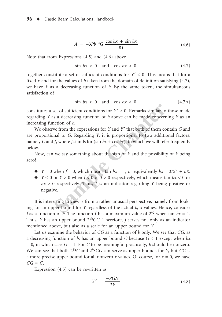$$
A = -3Pb^{-4}G \frac{\cos bx + \sin bx}{8J} \tag{4.6}
$$

Note that from Expressions (4.5) and (4.6) above

$$
\sin bx > 0 \quad \text{and} \quad \cos bx > 0 \tag{4.7}
$$

together constitute a set of sufficient conditions for *Y* ′ < 0. This means that for a fixed *x* and for the values of *b* taken from the domain of definition satisfying (4.7), we have *Y* as a decreasing function of *b*. By the same token, the simultaneous satisfaction of

$$
\sin bx < 0 \quad \text{and} \quad \cos bx < 0 \tag{4.7A}
$$

constitutes a set of sufficient conditions for  $Y' > 0$ . Remarks similar to those made regarding *Y* as a decreasing function of *b* above can be made concerning *Y* as an increasing function of *b*.

We observe from the expressions for *Y* and *Y* ′ that both of them contain *G* and are proportional to *G*. Regarding *Y*, it is proportional to two additional factors, namely *C* and *f*, where *f* stands for (sin  $bx + \cos bx$ ), to which we will refer frequently below. set of sufficient conditions for  $Y' > 0$ . Remarks similar to<br>s a decreasing function of *b* above can be made concern<br>action of *b*.<br>we from the expressions for *Y* and *Y'* that both of them co<br>nal to *G*. Regarding *Y*,

Now, can we say something about the sign of *Y* and the possibility of *Y* being zero?

- $\blacklozenge$  *Y* = 0 when *f* = 0, which means tan *bx* = 1, or equivalently *bx* = 3 $\pi$ /4 +  $n\pi$ .
- $\blacktriangleright$  *Y* < 0 or *Y* > 0 when *f* < 0 or *f* > 0 respectively, which means tan *bx* < 0 or *bx* > 0 respectively. Thus, *f* is an indicator regarding *Y* being positive or negative.

It is interesting to view *Y* from a rather unusual perspective, namely from looking for an upper bound for *Y* regardless of the actual *b, x* values. Hence, consider *f* as a function of *b*. The function *f* has a maximum value of  $2^{1/2}$  when tan  $bx = 1$ . Thus, *Y* has an upper bound  $2^{1/2}CG$ . Therefore, *f* serves not only as an indicator mentioned above, but also as a scale for an upper bound for *Y*.

Let us examine the behavior of *CG* as a function of *b* only. We see that *CG*, as a decreasing function of *b*, has an upper bound *C* because *G* < 1 except when *bx*  $= 0$ , in which case  $G = 1$ . For *C* to be meaningful practically, *b* should be nonzero. We can see that both  $2^{1/2}C$  and  $2^{1/2}CG$  can serve as upper bounds for *Y*, but *CG* is a more precise upper bound for all nonzero  $x$  values. Of course, for  $x = 0$ , we have  $CG = C$ .

Expression (4.5) can be rewritten as

$$
Y' = \frac{-PGN}{2k} \tag{4.8}
$$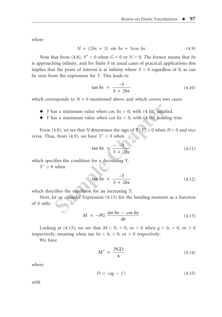where

$$
N = (2bx + 3) \sin bx + 3\cos bx \tag{4.9}
$$

Note that from (4.8),  $Y' = 0$  when  $G = 0$  or  $N = 0$ . The former means that *bx* is approaching infinity, and for finite *b* in usual cases of practical applications this implies that the point of interest is at infinity where  $Y = 0$  regardless of *b*, as can be seen from the expression for *Y*. This leads to

$$
\tan bx = \frac{-3}{3 + 2bx} \tag{4.10}
$$

which corresponds to  $N = 0$  mentioned above and which covers two cases:

- $\blacklozenge$  *Y* has a minimum value when cos  $bx > 0$ , with (4.10) satisfied.
- $\blacklozenge$  *Y* has a maximum value when cos  $bx < 0$ , with (4.10) holding true.

From (4.8), we see that *N* determines the sign of  $Y$ ': $Y' > 0$  when  $N < 0$  and vice versa. Thus, from (4.9), we have  $Y' < 0$  when as a minimum value when cos  $bx > 0$ , with (4.10) satisfies<br>as a maximum value when cos  $bx < 0$ , with (4.10) holdi<br>4.8), we see that *N* determines the sign of  $Y':Y' > 0$  when<br>i, from (4.9), we have  $Y' < 0$  when<br>tan  $bx > \frac{-3}{3$ 

$$
\tan bx > \frac{-3}{3 + 2bx} \tag{4.11}
$$

which specifies the condition for a decreasing Y.

 $Y' > 0$  when

$$
\tan bx < \frac{-3}{3 + 2bx} \tag{4.12}
$$

which describes the condition for an increasing *Y*.

Next, let us consider Expression (4.13) for the bending moment as a function of *b* only:

$$
M = -PG \frac{\sin bx - \cos bx}{4b} \tag{4.13}
$$

Looking at (4.13), we see that  $M < 0$ , = 0, or > 0 when  $g < 0$ , = 0, or > 0 respectively, meaning when tan  $bx < 0$ , = 0, or > 0 respectively.

We have

$$
M' = \frac{PGD}{4} \tag{4.14}
$$

where

$$
D = (ag - f) \tag{4.15}
$$

with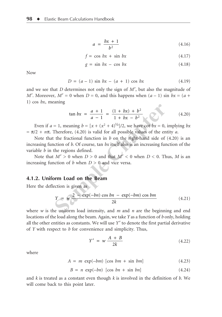$$
a = \frac{bx + 1}{b^2} \tag{4.16}
$$

$$
f = \cos bx + \sin bx \tag{4.17}
$$

$$
g = \sin bx - \cos bx \tag{4.18}
$$

Now

$$
D = (a - 1) \sin bx - (a + 1) \cos bx \tag{4.19}
$$

and we see that *D* determines not only the sign of *M*′, but also the magnitude of *M*'. Moreover,  $M' = 0$  when  $D = 0$ , and this happens when  $(a - 1)$  sin  $bx = (a + b)$ 1) cos *bx*, meaning

$$
\tan bx = \frac{a+1}{a-1} = \frac{(1+bx)+b^2}{1+bx-b^2} \tag{4.20}
$$

Even if  $a = 1$ , meaning  $b = [x + (x^2 + 4)^{1/2}]/2$ , we have cot  $bx = 0$ , implying bx  $= \pi/2 + n\pi$ . Therefore, (4.20) is valid for all possible values of the entity *a*.

Note that the fractional function in *b* on the right-hand side of (4.20) is an increasing function of *b*. Of course, tan *bx* itself also is an increasing function of the variable *b* in the regions defined. tan  $bx = \frac{a+1}{a-1} = \frac{(1+bx)+b^2}{1+bx-b^2}$ <br>
= 1, meaning  $b = [x + (x^2 + 4)^{1/2}]/2$ , we have cot  $bx = 0$ ,<br>
Therefore, (4.20) is valid for all possible values of the en<br>
the fractional function in b on the right-hand side of<br>
ction

Note that  $M' > 0$  when  $D > 0$  and that  $M' < 0$  when  $D < 0$ . Thus, M is an increasing function of *b* when  $D > 0$  and vice versa.

#### **4.1.2. Uniform Load on the Beam**

Here the deflection is given as

$$
Y = w \frac{2 - \exp(-bn) \cos bn - \exp(-bm) \cos bm}{2k}
$$
 (4.21)

where *w* is the uniform load intensity, and *m* and *n* are the beginning and end locations of the load along the beam. Again, we take *Y* as a function of *b* only, holding all the other entities as constants. We will use *Y* ′ to denote the first partial derivative of *Y* with respect to *b* for convenience and simplicity. Thus,

$$
Y' = w \frac{A + B}{2k} \tag{4.22}
$$

where

$$
A = m \exp(-bm) \left[ \cos bm + \sin bm \right]
$$
 (4.23)

$$
B = n \exp(-bn) \left[ \cos bn + \sin bn \right] \tag{4.24}
$$

and *k* is treated as a constant even though *k* is involved in the definition of *b*. We will come back to this point later.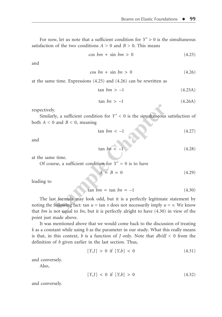For now, let us note that a sufficient condition for  $Y' > 0$  is the simultaneous satisfaction of the two conditions  $A > 0$  and  $B > 0$ . This means

$$
\cos bm + \sin bm > 0 \tag{4.25}
$$

and

$$
\cos bn + \sin bn > 0 \tag{4.26}
$$

at the same time. Expressions (4.25) and (4.26) can be rewritten as

$$
\tan \,bm \nu \, > -1 \tag{4.25A}
$$

$$
\tan \, bn > -1 \tag{4.26A}
$$

respectively.

Similarly, a sufficient condition for  $Y' < 0$  is the simultaneous satisfaction of both  $A < 0$  and  $B < 0$ , meaning

$$
\tan bm < -1 \tag{4.27}
$$

and

$$
\tan \, bn < -1 \tag{4.28}
$$

at the same time.

Of course, a sufficient condition for  $Y' = 0$  is to have

$$
A = B = 0 \tag{4.29}
$$

leading to

$$
\tan b m = \tan b n = -1
$$
 (4.30)

The last formula may look odd, but it is a perfectly legitimate statement by noting the following fact: tan  $u = \tan v$  does not necessarily imply  $u = v$ . We know that *bm* is not equal to *bn*, but it is perfectly alright to have (4.30) in view of the point just made above. Figure 1.<br>
1.<br>
1. Solution to the simultaneous<br>
1. Solution to the simultaneous<br>
1. Solution to the condition for  $Y' = 0$  is to have<br>
1.<br>
1. Solution to the condition for  $Y' = 0$  is to have<br>
1. Solution to the condition f

It was mentioned above that we would come back to the discussion of treating *k* as a constant while using *b* as the parameter in our study. What this really means is that, in this context, *b* is a function of *J* only. Note that *db/dJ* < 0 from the definition of *b* given earlier in the last section. Thus,

$$
[Y, J] > 0 \text{ if } [Y, b] < 0 \tag{4.31}
$$

and conversely.

Also,

$$
[Y, J] < 0 \text{ if } [Y, b] > 0 \tag{4.32}
$$

and conversely.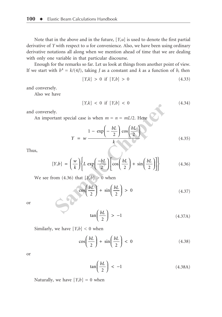Note that in the above and in the future, [*Y,u*] is used to denote the first partial derivative of *Y* with respect to *u* for convenience. Also, we have been using ordinary derivative notations all along when we mention ahead of time that we are dealing with only one variable in that particular discourse.

Enough for the remarks so far. Let us look at things from another point of view. If we start with  $b^4 = k/(4J)$ , taking *J* as a constant and *k* as a function of *b*, then

$$
[Y,k] > 0 \text{ if } [Y,b] > 0 \tag{4.33}
$$

and conversely.

Also we have

$$
[Y,k] < 0 \text{ if } [Y,b] < 0 \tag{4.34}
$$

and conversely.

An important special case is when  $m = n = mL/2$ . Here

$$
Y = w \frac{1 - \exp\left(-\frac{bL}{2}\right)\cos\left(\frac{bL}{2}\right)}{k}
$$
 (4.35)

Thus,

$$
[1, m] \leftarrow 0 \text{ in } [1, b]
$$
\n
$$
\text{at } \text{at } \text{special case is when } m = n = mL/2. \text{ Here}
$$
\n
$$
Y = w \frac{1 - \exp\left(-\frac{bL}{2}\right)\cos\left(\frac{bL}{2}\right)}{k}
$$
\n
$$
[Y, b] = \left(\frac{w}{k}\right) \left\{ L \exp\left(-\frac{bL}{2}\right) \left[\cos\left(\frac{bL}{2}\right) + \sin\left(\frac{bL}{2}\right) \right] \right\} \qquad (4.36)
$$
\n
$$
\text{from } (4.36) \text{ that } [Y, b] > 0 \text{ when}
$$
\n
$$
\cos\left(\frac{bL}{2}\right) + \sin\left(\frac{bL}{2}\right) > 0 \qquad (4.37)
$$

We see from  $(4.36)$  that  $[Y,b] > 0$  when

$$
\cos\left(\frac{bL}{2}\right) + \sin\left(\frac{bL}{2}\right) > 0 \tag{4.37}
$$

or

$$
\tan\left(\frac{bL}{2}\right) > -1 \tag{4.37A}
$$

Similarly, we have  $[Y,b] < 0$  when

$$
\cos\left(\frac{bL}{2}\right) + \sin\left(\frac{bL}{2}\right) < 0 \tag{4.38}
$$

or

$$
\tan\left(\frac{bL}{2}\right) < -1\tag{4.38A}
$$

Naturally, we have  $[Y,b] = 0$  when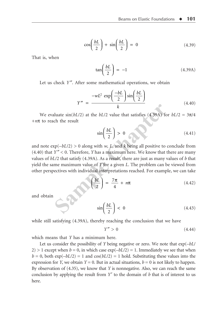$$
\cos\left(\frac{bL}{2}\right) + \sin\left(\frac{bL}{2}\right) = 0\tag{4.39}
$$

That is, when

$$
\tan\left(\frac{bL}{2}\right) = -1\tag{4.39A}
$$

Let us check *Y''*. After some mathematical operations, we obtain

$$
Y'' = \frac{-wL^2 \exp\left(\frac{-bL}{2}\right) \sin\left(\frac{bL}{2}\right)}{k} \tag{4.40}
$$

We evaluate  $sin(bL/2)$  at the *bL*/2 value that satisfies (4.39A) for  $bL/2 = 3\pi/4$ +*n*π to reach the result

$$
\sin\left(\frac{bL}{2}\right) > 0 \tag{4.41}
$$

and note  $exp(-bL/2) > 0$  along with *w*, *L*, and *k* being all positive to conclude from (4.40) that *Y* ″ < 0. Therefore, *Y* has a maximum here. We know that there are many values of *bL*/2 that satisfy (4.39A). As a result, there are just as many values of *b* that yield the same maximum value of *Y* for a given *L*. The problem can be viewed from other perspectives with individual interpretations reached. For example, we can take *k*<br>
luate  $\sin(bL/2)$  at the  $bL/2$  value that satisfies (4.39A) for<br>
ch the result<br>  $\sin\left(\frac{bL}{2}\right) > 0$ <br>
cp( $-bL/2$ ) > 0 along with *w*, *L*, and *k* being all positive to<br>  $Y'' < 0$ . Therefore, *Y* has a maximum here. We kn

$$
\left(\frac{bL}{2}\right) = \frac{7\pi}{4} + n\pi \tag{4.42}
$$

and obtain

$$
\sin\left(\frac{bL}{2}\right) < 0\tag{4.43}
$$

while still satisfying (4.39A), thereby reaching the conclusion that we have

$$
Y'' > 0 \tag{4.44}
$$

which means that *Y* has a minimum here.

Let us consider the possibility of *Y* being negative or zero. We note that exp(–*bL*/  $2$ ) > 1 except when  $b = 0$ , in which case  $\exp(-bL/2) = 1$ . Immediately we see that when  $b = 0$ , both  $\exp(-bL/2) = 1$  and  $\cos(bL/2) = 1$  hold. Substituting these values into the expression for *Y*, we obtain *Y* = 0. But in actual situations, *b* = 0 is not likely to happen. By observation of (4.35), we know that *Y* is nonnegative. Also, we can reach the same conclusion by applying the result from  $Y'$  to the domain of  $b$  that is of interest to us here.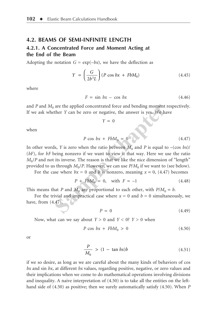#### **4.2. BEAMS OF SEMI-INFINITE LENGTH**

#### **4.2.1. A Concentrated Force and Moment Acting at the End of the Beam**

Adopting the notation  $G = \exp(-bx)$ , we have the deflection as

$$
Y = \left(\frac{G}{2b^3L}\right)(P\cos bx + FbM_0) \tag{4.45}
$$

where

$$
F = \sin bx - \cos bx \tag{4.46}
$$

and  $P$  and  $M_0$  are the applied concentrated force and bending moment respectively. If we ask whether *Y* can be zero or negative, the answer is yes. We have

$$
Y = 0
$$

when

$$
P \cos bx + FbM_0 = 0 \tag{4.47}
$$

In other words, *Y* is zero when the ratio between  $M_0$  and *P* is equal to  $-(\cos bx)/$ (*bF*), for *bF* being nonzero if we want to view it that way. Here we use the ratio  $M_0$ /*P* and not its inverse. The reason is that we like the nice dimension of "length" provided to us through  $M_0/P$ . However, we can use  $P/M_0$  if we want to (see below). are the applied concentrated force and bending moment ther *Y* can be zero or negative, the answer is yes. We ha<br>  $Y = 0$ <br>  $P \cos bx + FbM_0 = 0$ <br>
ls, *Y* is zero when the ratio between  $M_0$  and *P* is equal to<br>
being nonzero if

For the case where  $bx = 0$  and *b* is nonzero, meaning  $x = 0$ , (4.47) becomes

$$
P + FbM_0 = 0, \text{ with } F = -1 \tag{4.48}
$$

This means that *P* and  $M_0$  are proportional to each other, with  $P/M_0 = b$ .

For the trivial and impractical case where  $x = 0$  and  $b = 0$  simultaneously, we have, from (4.47),

$$
P = 0 \tag{4.49}
$$

Now, what can we say about  $Y > 0$  and  $Y < 0$ ?  $Y > 0$  when

$$
P\cos bx + FbM_0 > 0\tag{4.50}
$$

or

$$
\frac{P}{M_0} > (1 - \tan bx)b \tag{4.51}
$$

if we so desire, as long as we are careful about the many kinds of behaviors of cos *bx* and sin *bx*, at different *bx* values, regarding positive, negative, or zero values and their implications when we come to do mathematical operations involving divisions and inequality. A naive interpretation of (4.50) is to take all the entities on the lefthand side of (4.50) as positive; then we surely automatically satisfy (4.50). When *P*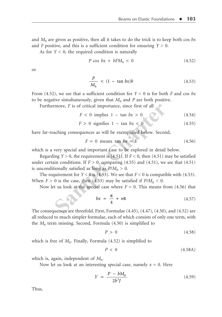and  $M_0$  are given as positive, then all it takes to do the trick is to keep both cos  $bx$ and *F* positive, and this is a sufficient condition for ensuring  $Y > 0$ .

As for  $Y < 0$ , the required condition is naturally

$$
P\cos bx + bFM_0 < 0\tag{4.52}
$$

or

$$
\frac{P}{M_0} < (1 - \tan bx)b \tag{4.53}
$$

From (4.52), we see that a sufficient condition for *Y* < 0 is for both *F* and cos *bx* to be negative simultaneously, given that  $M_0$  and  $P$  are both positive.

Furthermore, *F* is of critical importance, since first of all

$$
F < 0 \text{ implies } 1 - \tan bx > 0 \tag{4.54}
$$

$$
F > 0 \text{ signifies } 1 - \tan bx < 0 \tag{4.55}
$$

have far-reaching consequences as will be exemplified below. Second,

$$
F = 0 \text{ means } \tan bx = 1 \tag{4.56}
$$

which is a very special and important case to be explored in detail below.

Regarding  $Y > 0$ , the requirement is (4.51). If  $F < 0$ , then (4.51) may be satisfied under certain conditions. If  $F > 0$ , comparing (4.55) and (4.51), we see that (4.51) is unconditionally satisfied as long as  $P/M_0 > 0$ . Theorem F is of critical importance, since first of all<br>  $F < 0$  implies  $1 - \tan bx > 0$ <br>  $F > 0$  signifies  $1 - \tan bx < 0$ <br>
aching consequences as will be exemplified below. Secon<br>  $F = 0$  means  $\tan bx = 1$ <br>
very special and important c

The requirement for  $Y < 0$  is (4.53). We see that  $F < 0$  is compatible with (4.53). When  $F > 0$  is the case, then (4.53) may be satisfied if  $P/M_0 < 0$ .

Now let us look at the special case where  $F = 0$ . This means from (4.56) that

$$
bx = \frac{\pi}{4} + n\pi \tag{4.57}
$$

The consequences are threefold. First, Formulae (4.45), (4.47), (4.50), and (4.52) are all reduced to much simpler formulae, each of which consists of only one term, with the  $M_0$  term missing. Second, Formula  $(4.50)$  is simplified to

$$
P > 0 \tag{4.58}
$$

which is free of  $M_0$ . Finally, Formula  $(4.52)$  is simplified to

$$
P < 0 \tag{4.58A}
$$

which is, again, independent of  $M_0$ .

Now let us look at an interesting special case, namely  $x = 0$ . Here

$$
Y = \frac{P - bM_0}{2b^3J} \tag{4.59}
$$

Thus,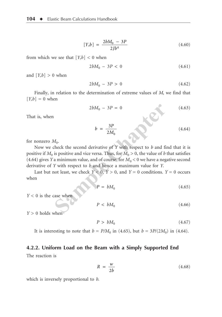$$
[Y,b] = \frac{2bM_0 - 3P}{2Jb^4} \tag{4.60}
$$

from which we see that  $[Y,b] < 0$  when

$$
2bM_0 - 3P < 0 \tag{4.61}
$$

and  $[Y,b] > 0$  when

$$
2bM_0 - 3P > 0 \t\t(4.62)
$$

Finally, in relation to the determination of extreme values of *M*, we find that  $[Y,b] = 0$  when

$$
2bM_0 - 3P = 0
$$
\n(4.63)\n  
\n
$$
b = \frac{3P}{2M_0}
$$
\n(4.64)

That is, when

for nonzero  $M_0$ .

Now we check the second derivative of *Y* with respect to *b* and find that it is positive if  $M_0$  is positive and vice versa. Thus, for  $M_0 > 0$ , the value of *b* that satisfies (4.64) gives *Y* a minimum value, and of course, for  $M_0 < 0$  we have a negative second derivative of *Y* with respect to *b* and hence a maximum value for *Y*.  $2bM_0 - 3P = 0$ <br>  $b = \frac{3P}{2M_0}$ <br>  $A_0$ .<br>
theck the second derivative of Y with respect to b and filing is positive and vice versa. Thus, for  $M_0 > 0$ , the value of b is a minimum value, and of course, for  $M_0 < 0$  we have

Last but not least, we check  $Y < 0$ ,  $Y > 0$ , and  $Y = 0$  conditions.  $Y = 0$  occurs when

$$
P = bM_0 \tag{4.65}
$$

*Y* < 0 is the case when

$$
P < bM_0 \tag{4.66}
$$

*Y* > 0 holds when

 $P > bM_0$  (4.67)

It is interesting to note that  $b = P/M_0$  in (4.65), but  $b = 3P/(2M_0)$  in (4.64).

#### **4.2.2. Uniform Load on the Beam with a Simply Supported End**

The reaction is

$$
R = \frac{w}{2b} \tag{4.68}
$$

which is inversely proportional to *b*.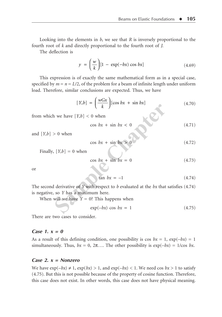Looking into the elements in *b*, we see that *R* is inversely proportional to the fourth root of *k* and directly proportional to the fourth root of *J*.

The deflection is

$$
y = \left(\frac{w}{k}\right)[1 - \exp(-bx)\cos bx] \tag{4.69}
$$

This expression is of exactly the same mathematical form as in a special case, specified by  $m = n = L/2$ , of the problem for a beam of infinite length under uniform load. Therefore, similar conclusions are expected. Thus, we have

$$
[Y,b] = \left(\frac{wGx}{k}\right)[\cos bx + \sin bx] \tag{4.70}
$$

from which we have  $[Y,b] < 0$  when

$$
\cos bx + \sin bx < 0 \tag{4.71}
$$

and  $[Y,b] > 0$  when

$$
\cos bx + \sin bx > 0 \tag{4.72}
$$

Finally,  $[Y,b] = 0$  when

$$
\cos bx + \sin bx = 0 \tag{4.73}
$$

or

$$
\tan bx = -1 \tag{4.74}
$$

The second derivative of *Y* with respect to *b* evaluated at the *bx* that satisfies (4.74) is negative, so *Y* has a maximum here. **Sample (T,b)**  $\leq 0$  when<br>  $\cos bx + \sin bx < 0$ <br>  $\leq 0$  when<br>  $\cos bx + \sin bx > 0$ <br>  $[Y,b] = 0$  when<br>  $\cos bx + \sin bx = 0$ <br>  $\tan bx = -1$ <br>
derivative of Y with respect to b evaluated at the bx that<br>
so Y has a maximum here.<br>
will we have  $Y = 0$ ? This

When will we have  $Y = 0$ ? This happens when

$$
\exp(-bx)\cos bx = 1\tag{4.75}
$$

There are two cases to consider.

#### **Case 1. x = 0**

As a result of this defining condition, one possibility is cos  $bx = 1$ ,  $exp(-bx) = 1$ simultaneously. Thus,  $bx = 0$ ,  $2\pi$ .... The other possibility is  $exp(-bx) = 1/cos bx$ .

#### **Case 2. x = Nonzero**

We have  $\exp(-bx) \neq 1$ ,  $\exp(bx) > 1$ , and  $\exp(-bx) < 1$ . We need cos  $bx > 1$  to satisfy (4.75). But this is not possible because of the property of cosine function. Therefore, this case does not exist. In other words, this case does not have physical meaning.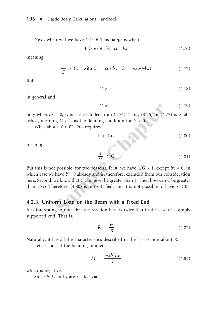Next, when will we have *Y* > 0? This happens when

$$
1 > \exp(-bx) \cos bx \tag{4.76}
$$

meaning

$$
\frac{1}{G} > C, \quad \text{with } C = \cos bx, \ G = \exp(-bx) \tag{4.77}
$$

But

$$
G > 1 \tag{4.78}
$$

in general and

 $G = 1$  (4.79)

only when  $bx = 0$ , which is excluded from  $(4.76)$ . Thus,  $(4.76)$  or  $(4.77)$  is established, meaning  $C < 1$ , as the defining condition for  $Y > 0$ .

What about *Y* < 0? This requires

$$
1 < GC \tag{4.80}
$$

meaning

$$
\frac{1}{G} < C \tag{4.81}
$$

But this is not possible, for two reasons. First, we have  $1/G > 1$ , except  $bx = 0$ , in which case we have  $Y = 0$  already and is, therefore, excluded from our consideration here. Second, we know that *C* can never be greater than 1. Then how can *C* be greater than  $1/G$ ? Therefore,  $(4.80)$  is not satisfied, and it is not possible to have  $Y < 0$ .  $G = 1$ <br>
= 0, which is excluded from (4.76). Thus, (4.76) or (4.7<br>
ng  $C < 1$ , as the defining condition for  $Y > 0$ .<br>
ut  $Y < 0$ ? This requires<br>  $1 < GC$ <br>  $\frac{1}{G} < C$ <br>
t possible, for two reasons. First, we have  $1/G > 1$ , excep<br>

#### **4.2.3. Uniform Load on the Beam with a Fixed End**

It is interesting to note that the reaction here is twice that in the case of a simply supported end. That is,

$$
R = \frac{w}{B} \tag{4.82}
$$

Naturally, it has all the characteristics described in the last section about *R*.

Let us look at the bending moment

$$
M = \frac{-2b^2Jw}{k} \tag{4.83}
$$

which is negative.

Since *b, k,* and *J* are related via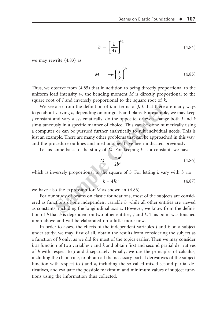$$
b = \left[\frac{k}{4J}\right]^{1/4} \tag{4.84}
$$

we may rewrite (4.83) as

$$
M = -w \left(\frac{J}{k}\right)^{1/2} \tag{4.85}
$$

Thus, we observe from (4.85) that in addition to being directly proportional to the uniform load intensity *w*, the bending moment *M* is directly proportional to the square root of *J* and inversely proportional to the square root of *k*.

We see also from the definition of *b* in terms of *J, k* that there are many ways to go about varying *b*, depending on our goals and plans. For example, we may keep *J* constant and vary *k* systematically, do the opposite, or even change both *J* and *k* simultaneously in a specific manner of choice. This can be done numerically using a computer or can be pursued further analytically to suit individual needs. This is just an example. There are many other problems that can be approached in this way, and the procedure outlines and methodology have been indicated previously. also from the definition of *b* in terms of *J*, *k* that there a<br>varying *b*, depending on our goals and plans. For example<br>and vary *k* systematically, do the opposite, or even chang<br>usly in a specific manner of choice.

Let us come back to the study of *M*. For keeping *k* as a constant, we have

$$
M = \frac{-w}{2b^2} \tag{4.86}
$$

which is inversely proportional to the square of *b*. For letting *k* vary with *b* via

$$
k = 4Jb^2 \tag{4.87}
$$

we have also the expression for *M* as shown in (4.86).

For our study of beams on elastic foundations, most of the subjects are considered as functions of one independent variable *b,* while all other entities are viewed as constants, including the longitudinal axis *x*. However, we know from the definition of *b* that *b* is dependent on two other entities, *J* and *k*. This point was touched upon above and will be elaborated on a little more now.

In order to assess the effects of the independent variables *J* and *k* on a subject under study, we may, first of all, obtain the results from considering the subject as a function of *b* only, as we did for most of the topics earlier. Then we may consider *b* as function of two variables *J* and *k* and obtain first and second partial derivatives of *b* with respect to *J* and *k* separately. Finally, we use the principles of calculus, including the chain rule, to obtain all the necessary partial derivatives of the subject function with respect to *J* and *k*, including the so-called mixed second partial derivatives, and evaluate the possible maximum and minimum values of subject functions using the information thus collected.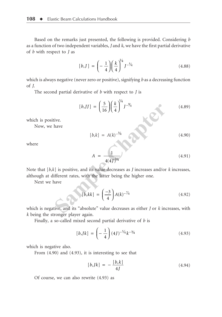Based on the remarks just presented, the following is provided. Considering *b* as a function of two independent variables, *J* and *k*, we have the first partial derivative of *b* with respect to *J* as

$$
[b, J] = \left(-\frac{1}{4}\right) \left(\frac{k}{4}\right)^{1/4} J^{-5/4}
$$
 (4.88)

which is always negative (never zero or positive), signifying *b* as a decreasing function of *J*.

The second partial derivative of *b* with respect to *J* is

$$
[b, JJ] = \left(\frac{5}{16}\right) \left(\frac{k}{4}\right)^{1/4} J^{-\frac{9}{4}} \tag{4.89}
$$

which is positive.

Now, we have

$$
[b,k] = A(k)^{-3/4}
$$
 (4.90)

where

$$
A = \frac{1}{4(4J)^{1/4}}\tag{4.91}
$$

Note that [*b,k*] is positive, and its value decreases as *J* increases and/or *k* increases, although at different rates, with the latter being the higher one.

Next we have

$$
[b, JJ] = \left(\frac{3}{16}\right) \left(\frac{\kappa}{4}\right) J^{-\frac{3}{4}}
$$
(4.89)  
live.  
have  

$$
[b,k] = A(k)^{-\frac{3}{4}} \qquad (4.90)
$$

$$
A = \frac{1}{4(4J)^{\frac{1}{4}}}
$$
(4.91)  
c] is positive, and its value decreases as *J* increases and/or *k* increases,  
different rates, with the latter being the higher one.  
have  

$$
[b, kk] = \left(\frac{-3}{4}\right) A(k)^{-\frac{7}{4}} \qquad (4.92)
$$

which is negative, and its "absolute" value decreases as either *J* or *k* increases, with *k* being the stronger player again.

Finally, a so-called mixed second partial derivative of *b* is

$$
[b, Jk] = \left(-\frac{1}{4}\right)(4J)^{-5/4}k^{-3/4}
$$
 (4.93)

which is negative also.

From (4.90) and (4.93), it is interesting to see that

$$
[b, Jk] = -\frac{[b, k]}{4J} \tag{4.94}
$$

Of course, we can also rewrite (4.93) as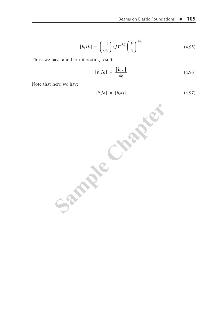$$
[b, Jk] = \left(\frac{-1}{64}\right) (J)^{-5/4} \left(\frac{k}{4}\right)^{-3/4}
$$
 (4.95)

Thus, we have another interesting result:

$$
[b, Jk] = \frac{[b, J]}{4k} \tag{4.96}
$$

Note that here we have

$$
[b, Jk] = [b, kJ] \tag{4.97}
$$

Sample Chapter